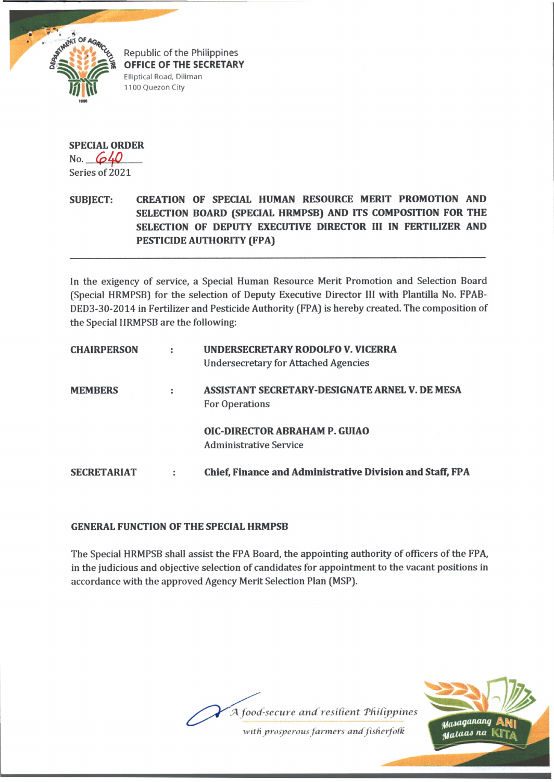

Republic of the Philippines **OFFICE OF THE SECRETARY** Elliptical Road, Diliman 1100 Quezon City

**SPECIAL ORDER** No. **640** Series of 2021

## **SUBJECT: CREATION OF SPECIAL HUMAN RESOURCE MERIT PROMOTION AND SELECTION BOARD (SPECIAL HRMPSB) AND ITS COMPOSITION FOR THE SELECTION OF DEPUTY EXECUTIVE DIRECTOR III IN FERTILIZER AND PESTICIDE AUTHORITY (FPA)**

In the exigency of service, a Special Human Resource Merit Promotion and Selection Board (Special HRMPSB) for the selection of Deputy Executive Director III with Plantilla No. FPAB-DED3-30-2014 in Fertilizer and Pesticide Authority (FPA) is hereby created. The composition of the Special HRMPSB are the following:

| <b>CHAIRPERSON</b> |   | UNDERSECRETARY RODOLFO V. VICERRA<br><b>Undersecretary for Attached Agencies</b> |
|--------------------|---|----------------------------------------------------------------------------------|
| <b>MEMBERS</b>     |   | ASSISTANT SECRETARY-DESIGNATE ARNEL V. DE MESA<br><b>For Operations</b>          |
|                    |   | OIC-DIRECTOR ABRAHAM P. GUIAO<br><b>Administrative Service</b>                   |
| <b>SECRETARIAT</b> | и | Chief, Finance and Administrative Division and Staff, FPA                        |

## **GENERAL FUNCTION OF THE SPECIAL HRMPSB**

The Special HRMPSB shall assist the FPA Board, the appointing authority of officers of the FPA, in the judicious and objective selection of candidates for appointment to the vacant positions in accordance with the approved Agency Merit Selection Plan (MSP).



*with prosperous fanners and fisherfoifc*